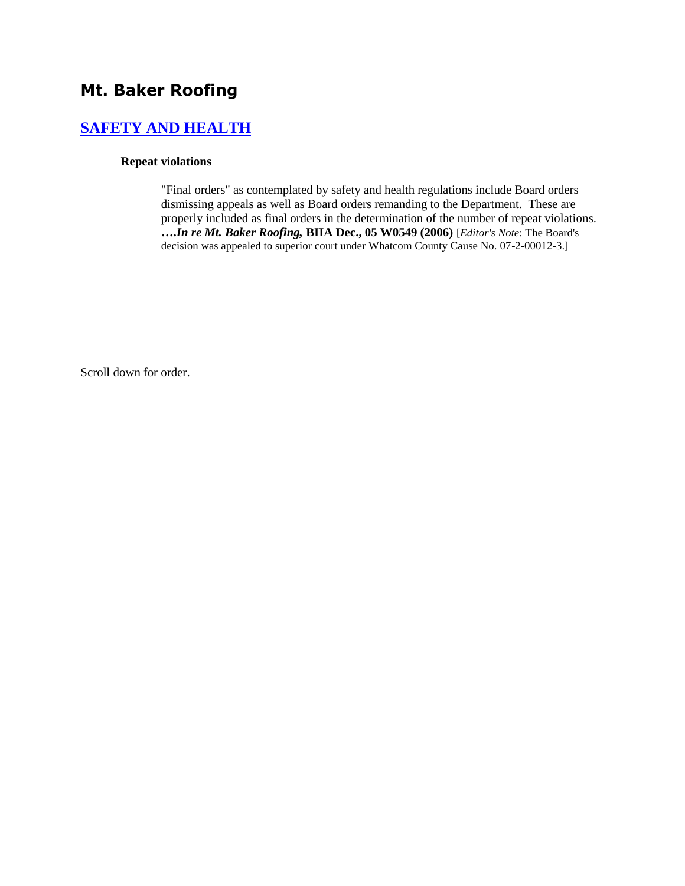# **[SAFETY AND HEALTH](http://www.biia.wa.gov/SDSubjectIndex.html#SAFETY_AND_HEALTH)**

#### **Repeat violations**

"Final orders" as contemplated by safety and health regulations include Board orders dismissing appeals as well as Board orders remanding to the Department. These are properly included as final orders in the determination of the number of repeat violations. **….***In re Mt. Baker Roofing,* **BIIA Dec., 05 W0549 (2006)** [*Editor's Note*: The Board's decision was appealed to superior court under Whatcom County Cause No. 07-2-00012-3.]

Scroll down for order.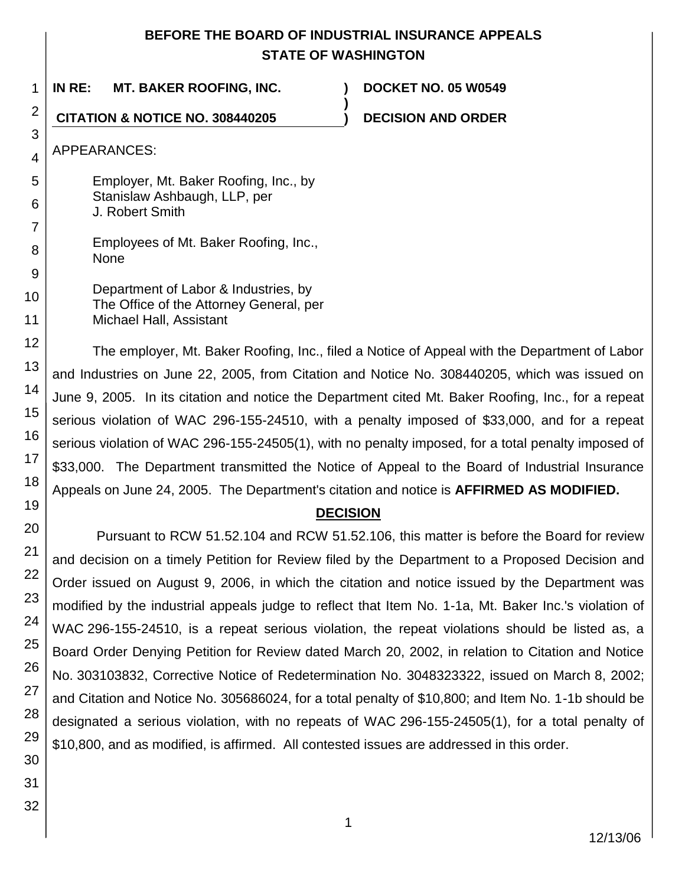## **BEFORE THE BOARD OF INDUSTRIAL INSURANCE APPEALS STATE OF WASHINGTON**

**)**

1 **IN RE: MT. BAKER ROOFING, INC. ) DOCKET NO. 05 W0549**

**CITATION & NOTICE NO. 308440205 ) DECISION AND ORDER**

APPEARANCES:

Employer, Mt. Baker Roofing, Inc., by Stanislaw Ashbaugh, LLP, per J. Robert Smith

Employees of Mt. Baker Roofing, Inc., None

Department of Labor & Industries, by The Office of the Attorney General, per Michael Hall, Assistant

The employer, Mt. Baker Roofing, Inc., filed a Notice of Appeal with the Department of Labor and Industries on June 22, 2005, from Citation and Notice No. 308440205, which was issued on June 9, 2005. In its citation and notice the Department cited Mt. Baker Roofing, Inc., for a repeat serious violation of WAC 296-155-24510, with a penalty imposed of \$33,000, and for a repeat serious violation of WAC 296-155-24505(1), with no penalty imposed, for a total penalty imposed of \$33,000. The Department transmitted the Notice of Appeal to the Board of Industrial Insurance Appeals on June 24, 2005. The Department's citation and notice is **AFFIRMED AS MODIFIED.**

## **DECISION**

Pursuant to RCW 51.52.104 and RCW 51.52.106, this matter is before the Board for review and decision on a timely Petition for Review filed by the Department to a Proposed Decision and Order issued on August 9, 2006, in which the citation and notice issued by the Department was modified by the industrial appeals judge to reflect that Item No. 1-1a, Mt. Baker Inc.'s violation of WAC 296-155-24510, is a repeat serious violation, the repeat violations should be listed as, a Board Order Denying Petition for Review dated March 20, 2002, in relation to Citation and Notice No. 303103832, Corrective Notice of Redetermination No. 3048323322, issued on March 8, 2002; and Citation and Notice No. 305686024, for a total penalty of \$10,800; and Item No. 1-1b should be designated a serious violation, with no repeats of WAC 296-155-24505(1), for a total penalty of \$10,800, and as modified, is affirmed. All contested issues are addressed in this order.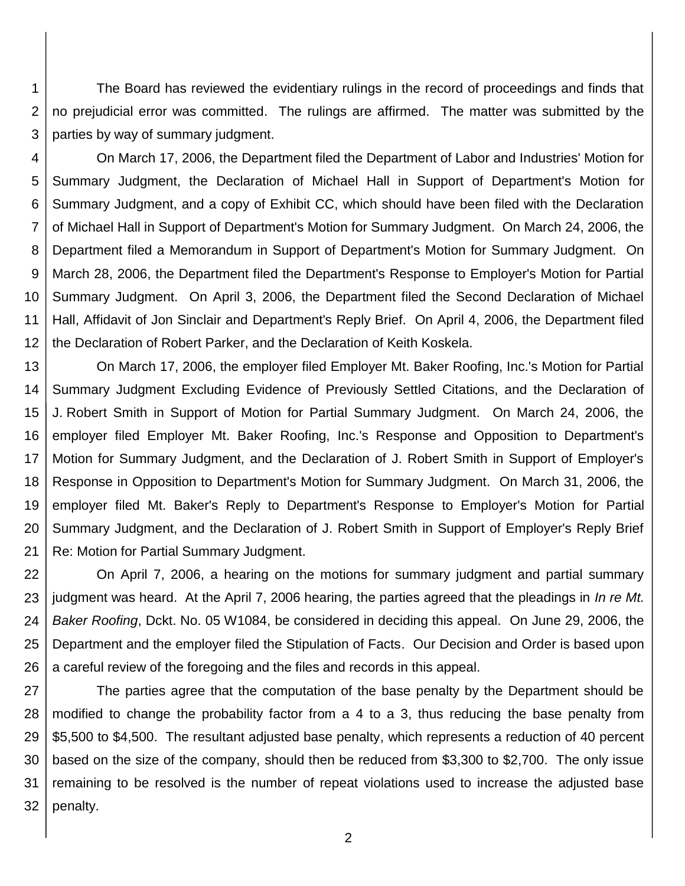1 2 3 The Board has reviewed the evidentiary rulings in the record of proceedings and finds that no prejudicial error was committed. The rulings are affirmed. The matter was submitted by the parties by way of summary judgment.

4 5 6 7 8 9 10 11 12 On March 17, 2006, the Department filed the Department of Labor and Industries' Motion for Summary Judgment, the Declaration of Michael Hall in Support of Department's Motion for Summary Judgment, and a copy of Exhibit CC, which should have been filed with the Declaration of Michael Hall in Support of Department's Motion for Summary Judgment. On March 24, 2006, the Department filed a Memorandum in Support of Department's Motion for Summary Judgment. On March 28, 2006, the Department filed the Department's Response to Employer's Motion for Partial Summary Judgment. On April 3, 2006, the Department filed the Second Declaration of Michael Hall, Affidavit of Jon Sinclair and Department's Reply Brief. On April 4, 2006, the Department filed the Declaration of Robert Parker, and the Declaration of Keith Koskela.

13 14 15 16 17 18 19 20 21 On March 17, 2006, the employer filed Employer Mt. Baker Roofing, Inc.'s Motion for Partial Summary Judgment Excluding Evidence of Previously Settled Citations, and the Declaration of J. Robert Smith in Support of Motion for Partial Summary Judgment. On March 24, 2006, the employer filed Employer Mt. Baker Roofing, Inc.'s Response and Opposition to Department's Motion for Summary Judgment, and the Declaration of J. Robert Smith in Support of Employer's Response in Opposition to Department's Motion for Summary Judgment. On March 31, 2006, the employer filed Mt. Baker's Reply to Department's Response to Employer's Motion for Partial Summary Judgment, and the Declaration of J. Robert Smith in Support of Employer's Reply Brief Re: Motion for Partial Summary Judgment.

22 23 24 25 26 On April 7, 2006, a hearing on the motions for summary judgment and partial summary judgment was heard. At the April 7, 2006 hearing, the parties agreed that the pleadings in *In re Mt. Baker Roofing*, Dckt. No. 05 W1084, be considered in deciding this appeal. On June 29, 2006, the Department and the employer filed the Stipulation of Facts. Our Decision and Order is based upon a careful review of the foregoing and the files and records in this appeal.

27 28 29 30 31 32 The parties agree that the computation of the base penalty by the Department should be modified to change the probability factor from a 4 to a 3, thus reducing the base penalty from \$5,500 to \$4,500. The resultant adjusted base penalty, which represents a reduction of 40 percent based on the size of the company, should then be reduced from \$3,300 to \$2,700. The only issue remaining to be resolved is the number of repeat violations used to increase the adjusted base penalty.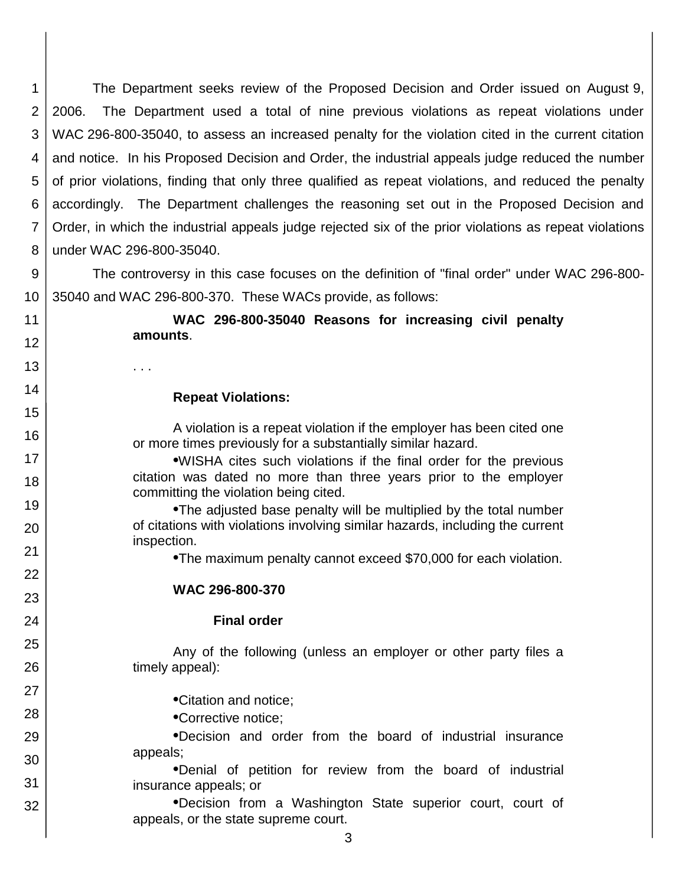1 2 3 4 5 6 7 8 The Department seeks review of the Proposed Decision and Order issued on August 9, 2006. The Department used a total of nine previous violations as repeat violations under WAC 296-800-35040, to assess an increased penalty for the violation cited in the current citation and notice. In his Proposed Decision and Order, the industrial appeals judge reduced the number of prior violations, finding that only three qualified as repeat violations, and reduced the penalty accordingly. The Department challenges the reasoning set out in the Proposed Decision and Order, in which the industrial appeals judge rejected six of the prior violations as repeat violations under WAC 296-800-35040.

9 10 The controversy in this case focuses on the definition of "final order" under WAC 296-800- 35040 and WAC 296-800-370. These WACs provide, as follows:

11

12

13

14

15

16

17 18

19

20

21 22

23

24

25

26

27

28

29 30

31

32

**WAC 296-800-35040 Reasons for increasing civil penalty amounts**.

### **Repeat Violations:**

. . .

A violation is a repeat violation if the employer has been cited one or more times previously for a substantially similar hazard.

**•**WISHA cites such violations if the final order for the previous citation was dated no more than three years prior to the employer committing the violation being cited.

**•**The adjusted base penalty will be multiplied by the total number of citations with violations involving similar hazards, including the current inspection.

**•**The maximum penalty cannot exceed \$70,000 for each violation.

### **WAC 296-800-370**

### **Final order**

Any of the following (unless an employer or other party files a timely appeal):

**•**Citation and notice;

**•**Corrective notice;

**•**Decision and order from the board of industrial insurance appeals;

**•**Denial of petition for review from the board of industrial insurance appeals; or

**•**Decision from a Washington State superior court, court of appeals, or the state supreme court.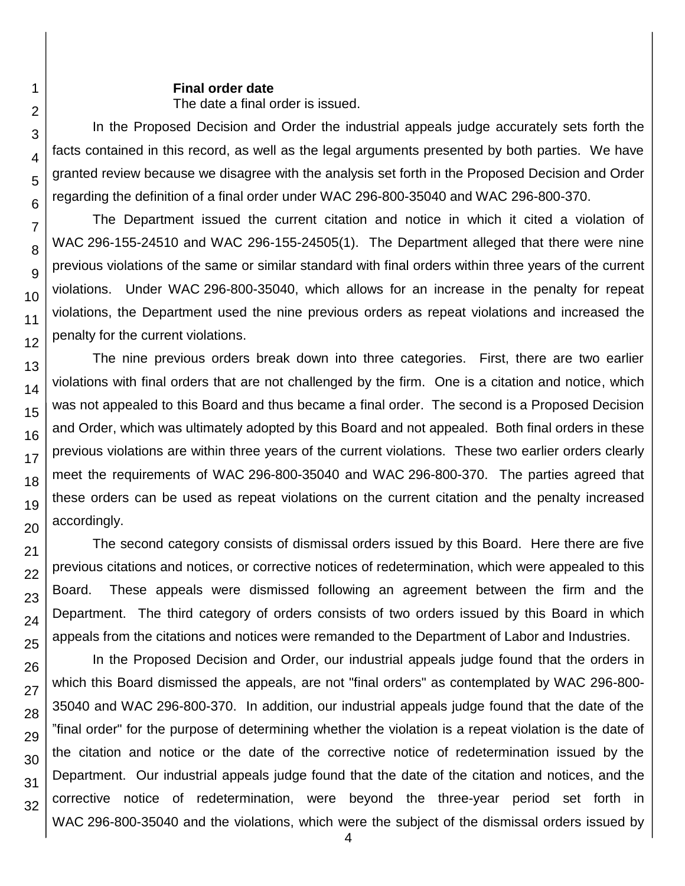### **Final order date**

The date a final order is issued.

In the Proposed Decision and Order the industrial appeals judge accurately sets forth the facts contained in this record, as well as the legal arguments presented by both parties. We have granted review because we disagree with the analysis set forth in the Proposed Decision and Order regarding the definition of a final order under WAC 296-800-35040 and WAC 296-800-370.

The Department issued the current citation and notice in which it cited a violation of WAC 296-155-24510 and WAC 296-155-24505(1). The Department alleged that there were nine previous violations of the same or similar standard with final orders within three years of the current violations. Under WAC 296-800-35040, which allows for an increase in the penalty for repeat violations, the Department used the nine previous orders as repeat violations and increased the penalty for the current violations.

The nine previous orders break down into three categories. First, there are two earlier violations with final orders that are not challenged by the firm. One is a citation and notice, which was not appealed to this Board and thus became a final order. The second is a Proposed Decision and Order, which was ultimately adopted by this Board and not appealed. Both final orders in these previous violations are within three years of the current violations. These two earlier orders clearly meet the requirements of WAC 296-800-35040 and WAC 296-800-370. The parties agreed that these orders can be used as repeat violations on the current citation and the penalty increased accordingly.

The second category consists of dismissal orders issued by this Board. Here there are five previous citations and notices, or corrective notices of redetermination, which were appealed to this Board. These appeals were dismissed following an agreement between the firm and the Department. The third category of orders consists of two orders issued by this Board in which appeals from the citations and notices were remanded to the Department of Labor and Industries.

In the Proposed Decision and Order, our industrial appeals judge found that the orders in which this Board dismissed the appeals, are not "final orders" as contemplated by WAC 296-800- 35040 and WAC 296-800-370. In addition, our industrial appeals judge found that the date of the "final order" for the purpose of determining whether the violation is a repeat violation is the date of the citation and notice or the date of the corrective notice of redetermination issued by the Department. Our industrial appeals judge found that the date of the citation and notices, and the corrective notice of redetermination, were beyond the three-year period set forth in WAC 296-800-35040 and the violations, which were the subject of the dismissal orders issued by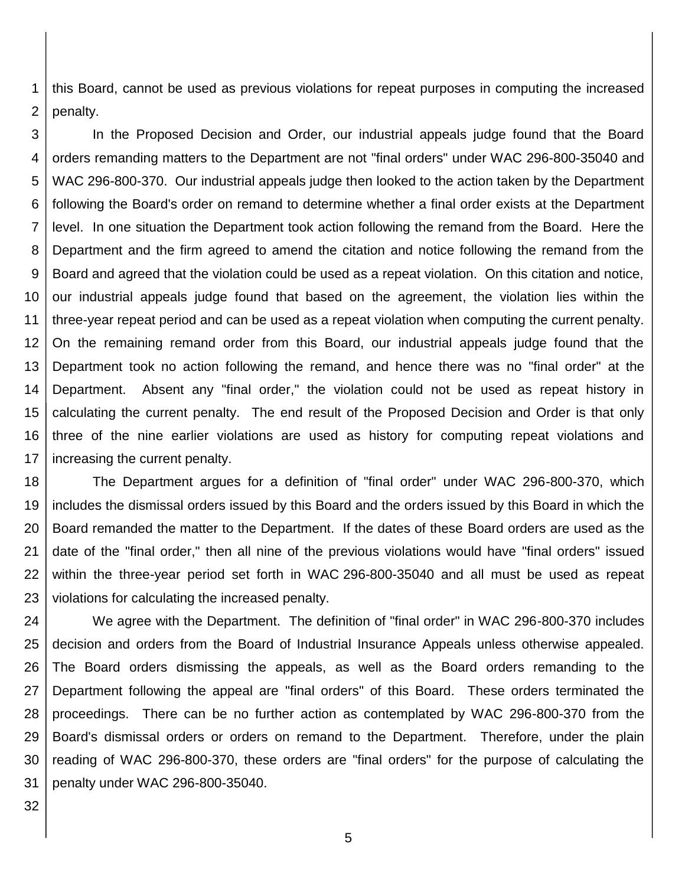1 2 this Board, cannot be used as previous violations for repeat purposes in computing the increased penalty.

3 4 5 6 7 8 9 10 11 12 13 14 15 16 17 In the Proposed Decision and Order, our industrial appeals judge found that the Board orders remanding matters to the Department are not "final orders" under WAC 296-800-35040 and WAC 296-800-370. Our industrial appeals judge then looked to the action taken by the Department following the Board's order on remand to determine whether a final order exists at the Department level. In one situation the Department took action following the remand from the Board. Here the Department and the firm agreed to amend the citation and notice following the remand from the Board and agreed that the violation could be used as a repeat violation. On this citation and notice, our industrial appeals judge found that based on the agreement, the violation lies within the three-year repeat period and can be used as a repeat violation when computing the current penalty. On the remaining remand order from this Board, our industrial appeals judge found that the Department took no action following the remand, and hence there was no "final order" at the Department. Absent any "final order," the violation could not be used as repeat history in calculating the current penalty. The end result of the Proposed Decision and Order is that only three of the nine earlier violations are used as history for computing repeat violations and increasing the current penalty.

18 19 20 21 22 23 The Department argues for a definition of "final order" under WAC 296-800-370, which includes the dismissal orders issued by this Board and the orders issued by this Board in which the Board remanded the matter to the Department. If the dates of these Board orders are used as the date of the "final order," then all nine of the previous violations would have "final orders" issued within the three-year period set forth in WAC 296-800-35040 and all must be used as repeat violations for calculating the increased penalty.

24 25 26 27 28 29 30 31 We agree with the Department. The definition of "final order" in WAC 296-800-370 includes decision and orders from the Board of Industrial Insurance Appeals unless otherwise appealed. The Board orders dismissing the appeals, as well as the Board orders remanding to the Department following the appeal are "final orders" of this Board. These orders terminated the proceedings. There can be no further action as contemplated by WAC 296-800-370 from the Board's dismissal orders or orders on remand to the Department. Therefore, under the plain reading of WAC 296-800-370, these orders are "final orders" for the purpose of calculating the penalty under WAC 296-800-35040.

32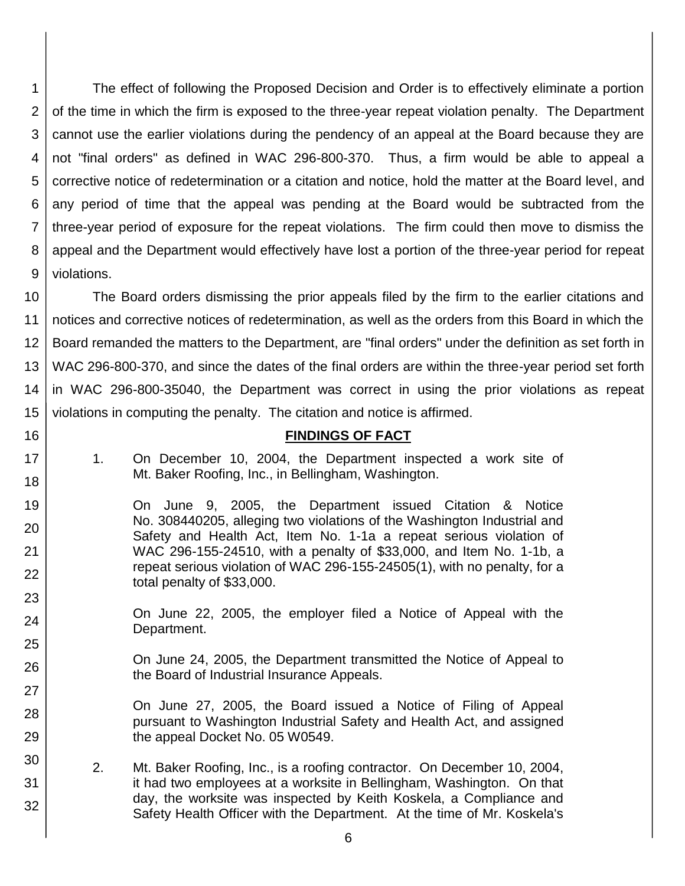1 2 3 4 5 6 7 8 9 The effect of following the Proposed Decision and Order is to effectively eliminate a portion of the time in which the firm is exposed to the three-year repeat violation penalty. The Department cannot use the earlier violations during the pendency of an appeal at the Board because they are not "final orders" as defined in WAC 296-800-370. Thus, a firm would be able to appeal a corrective notice of redetermination or a citation and notice, hold the matter at the Board level, and any period of time that the appeal was pending at the Board would be subtracted from the three-year period of exposure for the repeat violations. The firm could then move to dismiss the appeal and the Department would effectively have lost a portion of the three-year period for repeat violations.

10 11 12 13 14 15 The Board orders dismissing the prior appeals filed by the firm to the earlier citations and notices and corrective notices of redetermination, as well as the orders from this Board in which the Board remanded the matters to the Department, are "final orders" under the definition as set forth in WAC 296-800-370, and since the dates of the final orders are within the three-year period set forth in WAC 296-800-35040, the Department was correct in using the prior violations as repeat violations in computing the penalty. The citation and notice is affirmed.

### **FINDINGS OF FACT**

1. On December 10, 2004, the Department inspected a work site of Mt. Baker Roofing, Inc., in Bellingham, Washington.

16

17 18

19

20

21 22

23

24

25

26

27

28

29

30

31

- On June 9, 2005, the Department issued Citation & Notice No. 308440205, alleging two violations of the Washington Industrial and Safety and Health Act, Item No. 1-1a a repeat serious violation of WAC 296-155-24510, with a penalty of \$33,000, and Item No. 1-1b, a repeat serious violation of WAC 296-155-24505(1), with no penalty, for a total penalty of \$33,000.
	- On June 22, 2005, the employer filed a Notice of Appeal with the Department.
	- On June 24, 2005, the Department transmitted the Notice of Appeal to the Board of Industrial Insurance Appeals.
	- On June 27, 2005, the Board issued a Notice of Filing of Appeal pursuant to Washington Industrial Safety and Health Act, and assigned the appeal Docket No. 05 W0549.
- 2. Mt. Baker Roofing, Inc., is a roofing contractor. On December 10, 2004, it had two employees at a worksite in Bellingham, Washington. On that day, the worksite was inspected by Keith Koskela, a Compliance and Safety Health Officer with the Department. At the time of Mr. Koskela's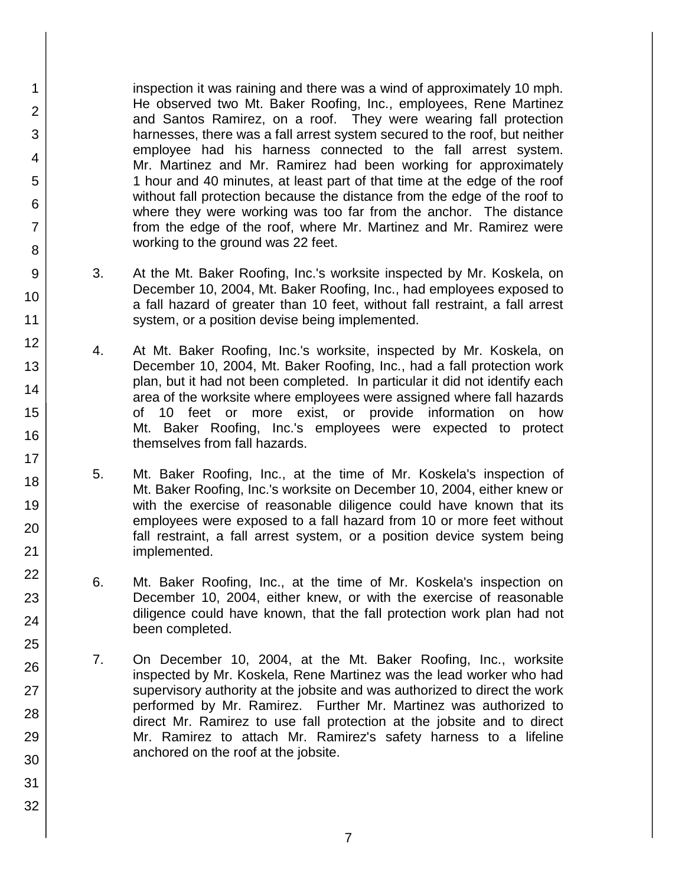inspection it was raining and there was a wind of approximately 10 mph. He observed two Mt. Baker Roofing, Inc., employees, Rene Martinez and Santos Ramirez, on a roof. They were wearing fall protection harnesses, there was a fall arrest system secured to the roof, but neither employee had his harness connected to the fall arrest system. Mr. Martinez and Mr. Ramirez had been working for approximately 1 hour and 40 minutes, at least part of that time at the edge of the roof without fall protection because the distance from the edge of the roof to where they were working was too far from the anchor. The distance from the edge of the roof, where Mr. Martinez and Mr. Ramirez were working to the ground was 22 feet.

- 3. At the Mt. Baker Roofing, Inc.'s worksite inspected by Mr. Koskela, on December 10, 2004, Mt. Baker Roofing, Inc., had employees exposed to a fall hazard of greater than 10 feet, without fall restraint, a fall arrest system, or a position devise being implemented.
- 4. At Mt. Baker Roofing, Inc.'s worksite, inspected by Mr. Koskela, on December 10, 2004, Mt. Baker Roofing, Inc., had a fall protection work plan, but it had not been completed. In particular it did not identify each area of the worksite where employees were assigned where fall hazards of 10 feet or more exist, or provide information on how Mt. Baker Roofing, Inc.'s employees were expected to protect themselves from fall hazards.
- 5. Mt. Baker Roofing, Inc., at the time of Mr. Koskela's inspection of Mt. Baker Roofing, Inc.'s worksite on December 10, 2004, either knew or with the exercise of reasonable diligence could have known that its employees were exposed to a fall hazard from 10 or more feet without fall restraint, a fall arrest system, or a position device system being implemented.
- 6. Mt. Baker Roofing, Inc., at the time of Mr. Koskela's inspection on December 10, 2004, either knew, or with the exercise of reasonable diligence could have known, that the fall protection work plan had not been completed.
- 7. On December 10, 2004, at the Mt. Baker Roofing, Inc., worksite inspected by Mr. Koskela, Rene Martinez was the lead worker who had supervisory authority at the jobsite and was authorized to direct the work performed by Mr. Ramirez. Further Mr. Martinez was authorized to direct Mr. Ramirez to use fall protection at the jobsite and to direct Mr. Ramirez to attach Mr. Ramirez's safety harness to a lifeline anchored on the roof at the jobsite.

1

2

3

4

5

6

7

8

9

10

11

12

13

14

15

16

17 18

19

20

21

22

23

24

25

26

27

28

29

30

31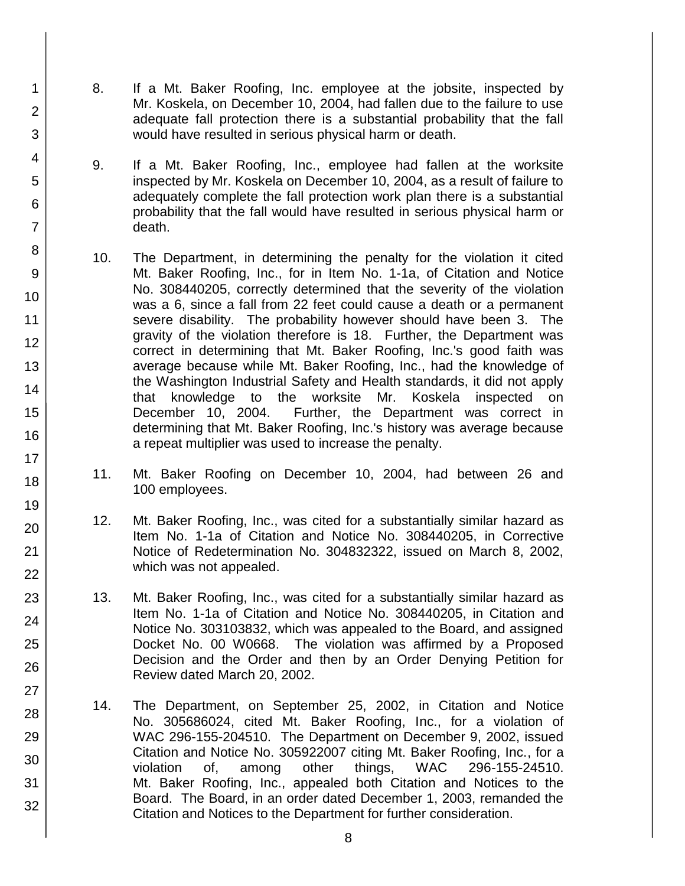8. If a Mt. Baker Roofing, Inc. employee at the jobsite, inspected by Mr. Koskela, on December 10, 2004, had fallen due to the failure to use adequate fall protection there is a substantial probability that the fall would have resulted in serious physical harm or death.

1

2

3

4

5

6

7

8

9

10

11

12

13

14

15

16

17 18

19

20

21 22

23

24

25

26

27

28

29

30

31

32

- 9. If a Mt. Baker Roofing, Inc., employee had fallen at the worksite inspected by Mr. Koskela on December 10, 2004, as a result of failure to adequately complete the fall protection work plan there is a substantial probability that the fall would have resulted in serious physical harm or death.
- 10. The Department, in determining the penalty for the violation it cited Mt. Baker Roofing, Inc., for in Item No. 1-1a, of Citation and Notice No. 308440205, correctly determined that the severity of the violation was a 6, since a fall from 22 feet could cause a death or a permanent severe disability. The probability however should have been 3. The gravity of the violation therefore is 18. Further, the Department was correct in determining that Mt. Baker Roofing, Inc.'s good faith was average because while Mt. Baker Roofing, Inc., had the knowledge of the Washington Industrial Safety and Health standards, it did not apply that knowledge to the worksite Mr. Koskela inspected on December 10, 2004. Further, the Department was correct in determining that Mt. Baker Roofing, Inc.'s history was average because a repeat multiplier was used to increase the penalty.
- 11. Mt. Baker Roofing on December 10, 2004, had between 26 and 100 employees.
- 12. Mt. Baker Roofing, Inc., was cited for a substantially similar hazard as Item No. 1-1a of Citation and Notice No. 308440205, in Corrective Notice of Redetermination No. 304832322, issued on March 8, 2002, which was not appealed.
- 13. Mt. Baker Roofing, Inc., was cited for a substantially similar hazard as Item No. 1-1a of Citation and Notice No. 308440205, in Citation and Notice No. 303103832, which was appealed to the Board, and assigned Docket No. 00 W0668. The violation was affirmed by a Proposed Decision and the Order and then by an Order Denying Petition for Review dated March 20, 2002.
- 14. The Department, on September 25, 2002, in Citation and Notice No. 305686024, cited Mt. Baker Roofing, Inc., for a violation of WAC 296-155-204510. The Department on December 9, 2002, issued Citation and Notice No. 305922007 citing Mt. Baker Roofing, Inc., for a violation of, among other things, WAC 296-155-24510. Mt. Baker Roofing, Inc., appealed both Citation and Notices to the Board. The Board, in an order dated December 1, 2003, remanded the Citation and Notices to the Department for further consideration.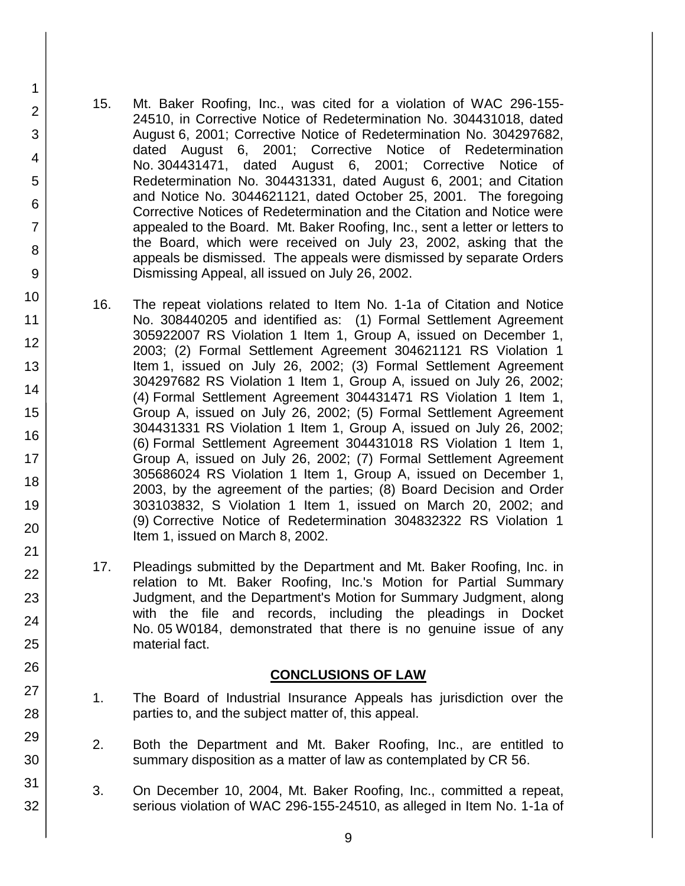15. Mt. Baker Roofing, Inc., was cited for a violation of WAC 296-155- 24510, in Corrective Notice of Redetermination No. 304431018, dated August 6, 2001; Corrective Notice of Redetermination No. 304297682, dated August 6, 2001; Corrective Notice of Redetermination No. 304431471, dated August 6, 2001; Corrective Notice of Redetermination No. 304431331, dated August 6, 2001; and Citation and Notice No. 3044621121, dated October 25, 2001. The foregoing Corrective Notices of Redetermination and the Citation and Notice were appealed to the Board. Mt. Baker Roofing, Inc., sent a letter or letters to the Board, which were received on July 23, 2002, asking that the appeals be dismissed. The appeals were dismissed by separate Orders Dismissing Appeal, all issued on July 26, 2002.

1

2

3

4

5

6

7

8

9

10

11 12

13

14

15

16

17 18

19

20

21 22

23

24

25

26

27

28

29

30

31

32

- 16. The repeat violations related to Item No. 1-1a of Citation and Notice No. 308440205 and identified as: (1) Formal Settlement Agreement 305922007 RS Violation 1 Item 1, Group A, issued on December 1, 2003; (2) Formal Settlement Agreement 304621121 RS Violation 1 Item 1, issued on July 26, 2002; (3) Formal Settlement Agreement 304297682 RS Violation 1 Item 1, Group A, issued on July 26, 2002; (4) Formal Settlement Agreement 304431471 RS Violation 1 Item 1, Group A, issued on July 26, 2002; (5) Formal Settlement Agreement 304431331 RS Violation 1 Item 1, Group A, issued on July 26, 2002; (6) Formal Settlement Agreement 304431018 RS Violation 1 Item 1, Group A, issued on July 26, 2002; (7) Formal Settlement Agreement 305686024 RS Violation 1 Item 1, Group A, issued on December 1, 2003, by the agreement of the parties; (8) Board Decision and Order 303103832, S Violation 1 Item 1, issued on March 20, 2002; and (9) Corrective Notice of Redetermination 304832322 RS Violation 1 Item 1, issued on March 8, 2002.
	- 17. Pleadings submitted by the Department and Mt. Baker Roofing, Inc. in relation to Mt. Baker Roofing, Inc.'s Motion for Partial Summary Judgment, and the Department's Motion for Summary Judgment, along with the file and records, including the pleadings in Docket No. 05 W0184, demonstrated that there is no genuine issue of any material fact.

## **CONCLUSIONS OF LAW**

- 1. The Board of Industrial Insurance Appeals has jurisdiction over the parties to, and the subject matter of, this appeal.
- 2. Both the Department and Mt. Baker Roofing, Inc., are entitled to summary disposition as a matter of law as contemplated by CR 56.
- 3. On December 10, 2004, Mt. Baker Roofing, Inc., committed a repeat, serious violation of WAC 296-155-24510, as alleged in Item No. 1-1a of